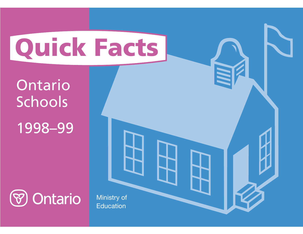# **Quick Facts**

Ontario Schools

1998–99



Ministry of **Education**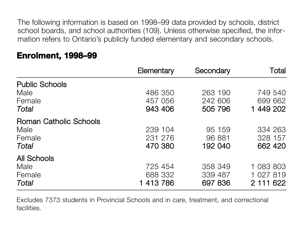The following information is based on 1998–99 data provided by schools, district school boards, and school authorities (109). Unless otherwise specified, the information refers to Ontario's publicly funded elementary and secondary schools.

|                               | Elementary | Secondary | Total     |
|-------------------------------|------------|-----------|-----------|
| <b>Public Schools</b>         |            |           |           |
| Male                          | 486 350    | 263 190   | 749 540   |
| Female                        | 457 056    | 242 606   | 699 662   |
| Total                         | 943 406    | 505 796   | 1 449 202 |
| <b>Roman Catholic Schools</b> |            |           |           |
| Male                          | 239 104    | 95 159    | 334 263   |
| Female                        | 231 276    | 96 881    | 328 157   |
| Total                         | 470 380    | 192 040   | 662 420   |
| <b>All Schools</b>            |            |           |           |
| Male                          | 725 454    | 358 349   | 1 083 803 |
| Female                        | 688 332    | 339 487   | 1 027 819 |
| Total                         | 1 413 786  | 697 836   | 2 111 622 |

## **Enrolment, 1998–99**

Excludes 7373 students in Provincial Schools and in care, treatment, and correctional facilities.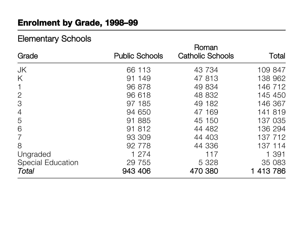# **Enrolment by Grade, 1998–99**

# Elementary Schools

| Grade                    | <b>Public Schools</b> | Roman<br><b>Catholic Schools</b> | Total     |
|--------------------------|-----------------------|----------------------------------|-----------|
| <b>JK</b>                | 66 113                | 43 734                           | 109 847   |
| K                        | 91 149                | 47 813                           | 138 962   |
| $\mathbf{1}$             | 96 878                | 49 834                           | 146 712   |
| $\mathbf{2}$             | 96 618                | 48 832                           | 145 450   |
| 3                        | 97 185                | 49 182                           | 146 367   |
| $\overline{4}$           | 94 650                | 47 169                           | 141 819   |
| 5                        | 91 885                | 45 150                           | 137 035   |
| 6                        | 91 812                | 44 482                           | 136 294   |
| $\overline{7}$           | 93 309                | 44 403                           | 137 712   |
| 8                        | 92 778                | 44 336                           | 137 114   |
| Ungraded                 | 1 274                 | 117                              | 1 391     |
| <b>Special Education</b> | 29 7 5 5              | 5 3 2 8                          | 35 083    |
| Total                    | 943 406               | 470 380                          | 1 413 786 |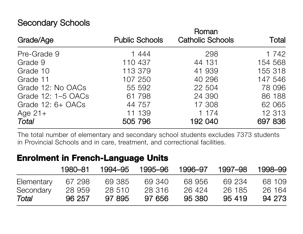# Secondary Schools

| Grade/Age           | <b>Public Schools</b> | Roman<br><b>Catholic Schools</b> | Total   |
|---------------------|-----------------------|----------------------------------|---------|
| Pre-Grade 9         | 1444                  | 298                              | 1 742   |
| Grade 9             | 110 437               | 44 131                           | 154 568 |
| Grade 10            | 113 379               | 41 939                           | 155 318 |
| Grade 11            | 107 250               | 40 296                           | 147 546 |
| Grade 12: No OACs   | 55 592                | 22 504                           | 78 096  |
| Grade 12: 1-5 OACs  | 61 798                | 24 390                           | 86 188  |
| Grade $12: 6+ OACS$ | 44 757                | 17 308                           | 62 065  |
| Age $21+$           | 11 139                | 1 174                            | 12 3 13 |
| <b>Total</b>        | 505 796               | 192 040                          | 697 836 |

The total number of elementary and secondary school students excludes 7373 students in Provincial Schools and in care, treatment, and correctional facilities.

## **Enrolment in French-Language Units**

|            | 1980–81 | 1994–95 | 1995–96 | 1996–97 | 1997–98 | 1998–99 |
|------------|---------|---------|---------|---------|---------|---------|
| Elementary | 67 298  | 69 385  | 69340   | 68956   | 69 234  | 68 109  |
| Secondary  | 28 959  | 28 510  | 28 316  | 26 424  | 26 185  | 26 164  |
| Total      | 96 257  | 97 895  | 97 656  | 95 380  | 95 419  | 94 273  |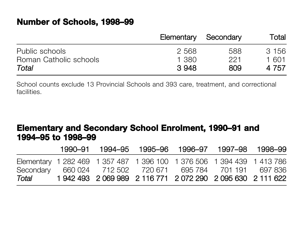## **Number of Schools, 1998–99**

|                        | Elementary | Secondary | Total |
|------------------------|------------|-----------|-------|
| Public schools         | 2568       | 588       | 3 156 |
| Roman Catholic schools | 1.380      | 221       | 1 601 |
| Total                  | 3948       | 809       | 4 757 |

School counts exclude 13 Provincial Schools and 393 care, treatment, and correctional facilities.

## **Elementary and Secondary School Enrolment, 1990–91 and 1994–95 to 1998–99**

|       |  | 1990-91 1994-95 1995-96 1996-97 1997-98 1998-99                        |  |  |
|-------|--|------------------------------------------------------------------------|--|--|
|       |  | Elementary 1 282 469 1 357 487 1 396 100 1 376 506 1 394 439 1 413 786 |  |  |
|       |  | Secondary 660 024 712 502 720 671 695 784 701 191 697 836              |  |  |
| Total |  | 1 942 493 2 069 989 2 116 771 2 072 290 2 095 630 2 111 622            |  |  |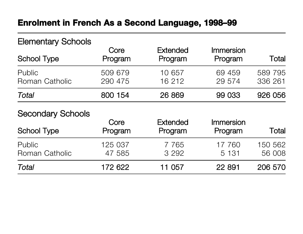## **Enrolment in French As a Second Language, 1998–99**

# Elementary Schools Core Extended Immersion School Type **Program** Program Program Program Total Public 509 679 10 657 69 459 589 795 Roman Catholic 290 475 16 212 29 574 336 261 *Total* 800 154 26 869 99 033 926 056

#### Secondary Schools

| <b>School Type</b>       | Core<br>Program   | <b>Extended</b><br>Program | Immersion<br>Program | Total             |
|--------------------------|-------------------|----------------------------|----------------------|-------------------|
| Public<br>Roman Catholic | 125 037<br>47 585 | 7 7 6 5<br>3 2 9 2         | 17 760<br>5 1 3 1    | 150 562<br>56 008 |
| Total                    | 172 622           | 11 057                     | 22 891               | 206 570           |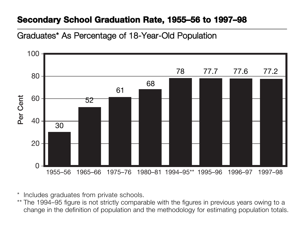## **Secondary School Graduation Rate, 1955–56 to 1997–98**

## Graduates\* As Percentage of 18-Year-Old Population



\*Includes graduates from private schools.

\*\* The 1994–95 figure is not strictly comparable with the figures in previous years owing to a change in the definition of population and the methodology for estimating population totals.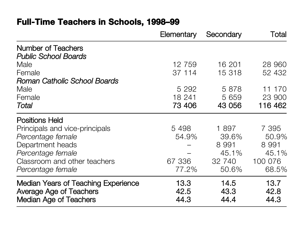# **Full-Time Teachers in Schools, 1998–99**

|                                                                                                        | Elementary           | Secondary            | Total                |
|--------------------------------------------------------------------------------------------------------|----------------------|----------------------|----------------------|
| <b>Number of Teachers</b>                                                                              |                      |                      |                      |
| <b>Public School Boards</b>                                                                            |                      |                      |                      |
| Male                                                                                                   | 12 759               | 16 201               | 28 960               |
| Female                                                                                                 | 37 114               | 15 318               | 52 432               |
| Roman Catholic School Boards                                                                           |                      |                      |                      |
| Male                                                                                                   | 5 2 9 2              | 5 8 7 8              | 11 170               |
| Female                                                                                                 | 18 241               | 5 6 5 9              | 23 900               |
| Total                                                                                                  | 73 406               | 43 056               | 116 462              |
| <b>Positions Held</b>                                                                                  |                      |                      |                      |
| Principals and vice-principals                                                                         | 5498                 | 1897                 | 7 3 9 5              |
| Percentage female                                                                                      | 54.9%                | 39.6%                | 50.9%                |
| Department heads                                                                                       |                      | 8 9 9 1              | 8 9 9 1              |
| Percentage female                                                                                      |                      | 45.1%                | 45.1%                |
| Classroom and other teachers                                                                           | 67 336               | 32 740               | 100 076              |
| Percentage female                                                                                      | 77.2%                | 50.6%                | 68.5%                |
| <b>Median Years of Teaching Experience</b><br>Average Age of Teachers<br><b>Median Age of Teachers</b> | 13.3<br>42.5<br>44.3 | 14.5<br>43.3<br>44.4 | 13.7<br>42.8<br>44.3 |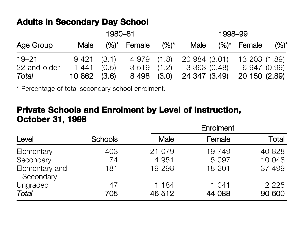## **Adults in Secondary Day School**

|                                    |                                       | 1980–81 |                              |                | 1998–99                                                      |  |                               |         |
|------------------------------------|---------------------------------------|---------|------------------------------|----------------|--------------------------------------------------------------|--|-------------------------------|---------|
| Age Group                          | Male                                  |         | $(%)^*$ Female               | $(%)^{\star}$  | <b>Male</b>                                                  |  | $(%)^*$ Female                | $(%)^*$ |
| $19 - 21$<br>22 and older<br>Total | 9421(3.1)<br>1 441<br>$10862$ $(3.6)$ | (0.5)   | 4 979 (1.8)<br>3 519<br>8498 | (1.2)<br>(3.0) | 20 984 (3.01) 13 203 (1.89)<br>3 363 (0.48)<br>24 347 (3.49) |  | 6 947 (0.99)<br>20 150 (2.89) |         |

\* Percentage of total secondary school enrolment.

## **Private Schools and Enrolment by Level of Instruction, October 31, 1998**

|                             |                | Enrolment       |                 |                   |  |  |
|-----------------------------|----------------|-----------------|-----------------|-------------------|--|--|
| Level                       | <b>Schools</b> | <b>Male</b>     | Female          | Total             |  |  |
| Elementary                  | 403            | 21 079          | 19 749          | 40 828            |  |  |
| Secondary                   | 74             | 4 9 5 1         | 5 0 9 7         | 10 048            |  |  |
| Elementary and<br>Secondary | 181            | 19 298          | 18 201          | 37 499            |  |  |
| Ungraded<br><b>Total</b>    | 47<br>705      | 1 184<br>46 512 | 1 041<br>44 088 | 2 2 2 5<br>90 600 |  |  |